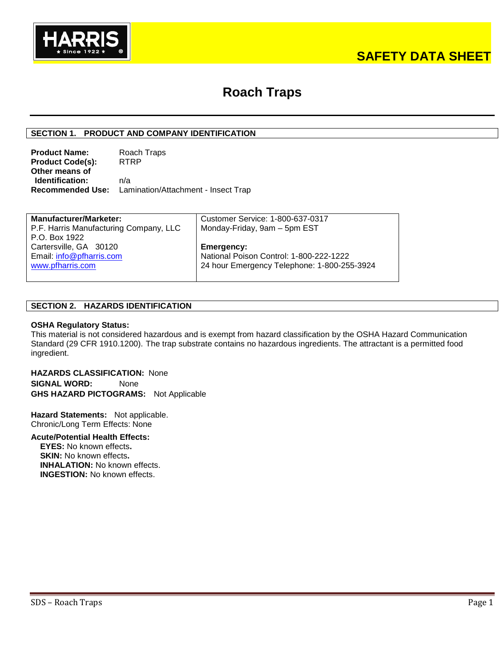

# **SAFETY DATA SHEET**

# **Roach Traps**

## **SECTION 1. PRODUCT AND COMPANY IDENTIFICATION**

| <b>Product Name:</b>    | Roach Traps                                                 |
|-------------------------|-------------------------------------------------------------|
| <b>Product Code(s):</b> | <b>RTRP</b>                                                 |
| Other means of          |                                                             |
| Identification:         | n/a                                                         |
|                         | <b>Recommended Use:</b> Lamination/Attachment - Insect Trap |

| <b>Manufacturer/Marketer:</b>          | Customer Service: 1-800-637-0317            |
|----------------------------------------|---------------------------------------------|
| P.F. Harris Manufacturing Company, LLC | Monday-Friday, 9am - 5pm EST                |
| P.O. Box 1922                          |                                             |
| Cartersville, GA 30120                 | Emergency:                                  |
| Email: info@pfharris.com               | National Poison Control: 1-800-222-1222     |
| www.pfharris.com                       | 24 hour Emergency Telephone: 1-800-255-3924 |
|                                        |                                             |

## **SECTION 2. HAZARDS IDENTIFICATION**

#### **OSHA Regulatory Status:**

This material is not considered hazardous and is exempt from hazard classification by the OSHA Hazard Communication Standard (29 CFR 1910.1200). The trap substrate contains no hazardous ingredients. The attractant is a permitted food ingredient.

**HAZARDS CLASSIFICATION:** None **SIGNAL WORD:** None **GHS HAZARD PICTOGRAMS:** Not Applicable

**Hazard Statements:** Not applicable. Chronic/Long Term Effects: None

## **Acute/Potential Health Effects:**

**EYES:** No known effects**. SKIN:** No known effects**. INHALATION:** No known effects. **INGESTION:** No known effects.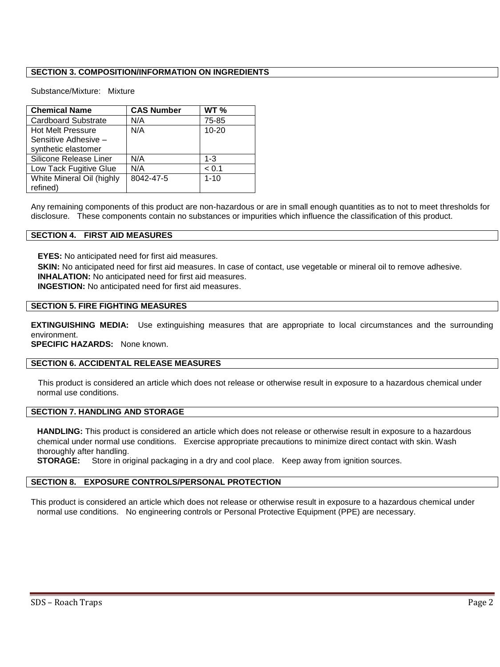# **SECTION 3. COMPOSITION/INFORMATION ON INGREDIENTS**

### Substance/Mixture: Mixture

| <b>Chemical Name</b>       | <b>CAS Number</b> | <b>WT %</b> |
|----------------------------|-------------------|-------------|
| <b>Cardboard Substrate</b> | N/A               | 75-85       |
| <b>Hot Melt Pressure</b>   | N/A               | $10 - 20$   |
| Sensitive Adhesive -       |                   |             |
| synthetic elastomer        |                   |             |
| Silicone Release Liner     | N/A               | $1 - 3$     |
| Low Tack Fugitive Glue     | N/A               | < 0.1       |
| White Mineral Oil (highly  | 8042-47-5         | $1 - 10$    |
| refined)                   |                   |             |

Any remaining components of this product are non-hazardous or are in small enough quantities as to not to meet thresholds for disclosure. These components contain no substances or impurities which influence the classification of this product.

### **SECTION 4. FIRST AID MEASURES**

**EYES:** No anticipated need for first aid measures.

**SKIN:** No anticipated need for first aid measures. In case of contact, use vegetable or mineral oil to remove adhesive. **INHALATION:** No anticipated need for first aid measures.

**INGESTION:** No anticipated need for first aid measures.

### **SECTION 5. FIRE FIGHTING MEASURES**

**EXTINGUISHING MEDIA:** Use extinguishing measures that are appropriate to local circumstances and the surrounding environment.

**SPECIFIC HAZARDS:** None known.

## **SECTION 6. ACCIDENTAL RELEASE MEASURES**

This product is considered an article which does not release or otherwise result in exposure to a hazardous chemical under normal use conditions.

## **SECTION 7. HANDLING AND STORAGE**

**HANDLING:** This product is considered an article which does not release or otherwise result in exposure to a hazardous chemical under normal use conditions. Exercise appropriate precautions to minimize direct contact with skin. Wash thoroughly after handling.

**STORAGE:** Store in original packaging in a dry and cool place. Keep away from ignition sources.

### **SECTION 8. EXPOSURE CONTROLS/PERSONAL PROTECTION**

This product is considered an article which does not release or otherwise result in exposure to a hazardous chemical under normal use conditions. No engineering controls or Personal Protective Equipment (PPE) are necessary.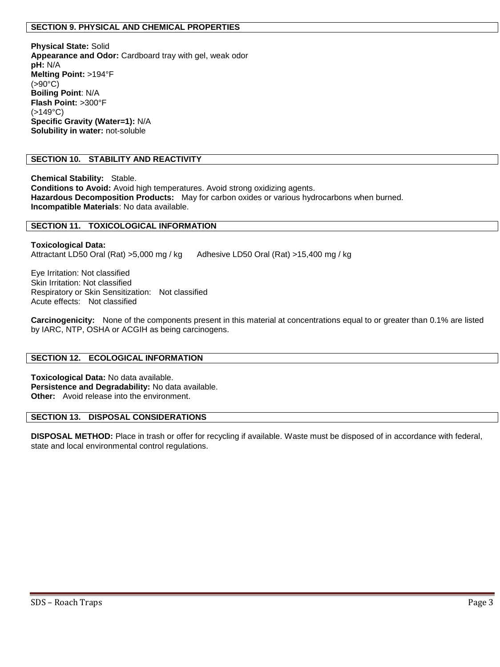## **SECTION 9. PHYSICAL AND CHEMICAL PROPERTIES**

**Physical State:** Solid **Appearance and Odor:** Cardboard tray with gel, weak odor **pH:** N/A **Melting Point:** >194°F  $(>90^{\circ}C)$ **Boiling Point**: N/A **Flash Point:** >300°F  $( > 149$ °C) **Specific Gravity (Water=1):** N/A **Solubility in water:** not-soluble

## **SECTION 10. STABILITY AND REACTIVITY**

**Chemical Stability:** Stable. **Conditions to Avoid:** Avoid high temperatures. Avoid strong oxidizing agents. **Hazardous Decomposition Products:** May for carbon oxides or various hydrocarbons when burned. **Incompatible Materials**: No data available.

### **SECTION 11. TOXICOLOGICAL INFORMATION**

**Toxicological Data:**  Attractant LD50 Oral (Rat) >5,000 mg / kg Adhesive LD50 Oral (Rat) >15,400 mg / kg

Eye Irritation: Not classified Skin Irritation: Not classified Respiratory or Skin Sensitization:Not classified Acute effects:Not classified

**Carcinogenicity:** None of the components present in this material at concentrations equal to or greater than 0.1% are listed by IARC, NTP, OSHA or ACGIH as being carcinogens.

### **SECTION 12. ECOLOGICAL INFORMATION**

**Toxicological Data:** No data available. **Persistence and Degradability:** No data available. **Other:** Avoid release into the environment.

# **SECTION 13. DISPOSAL CONSIDERATIONS**

**DISPOSAL METHOD:** Place in trash or offer for recycling if available. Waste must be disposed of in accordance with federal, state and local environmental control regulations.